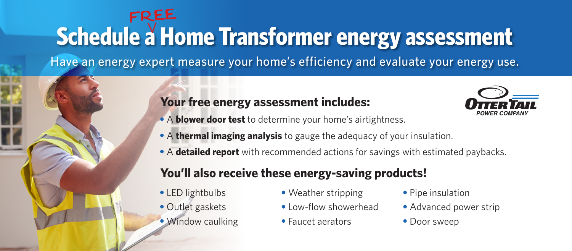# **Schedule a Home Transformer energy assessment** FREE

Have an energy expert measure your home's efficiency and evaluate your energy use.

#### **Your free energy assessment includes:**



- A **blower door test** to determine your home's airtightness.
- A **thermal imaging analysis** to gauge the adequacy of your insulation.
- A **detailed report** with recommended actions for savings with estimated paybacks.

### **You'll also receive these energy-saving products!**

- LED lightbulbs
- Outlet gaskets
- Window caulking
- Weather stripping
- Low-flow showerhead
- Faucet aerators
- Pipe insulation
- Advanced power strip
- Door sweep